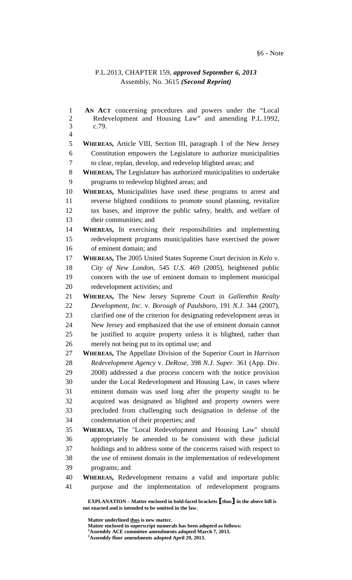## §6 - Note

## P.L.2013, CHAPTER 159, *approved September 6, 2013* Assembly, No. 3615 *(Second Reprint)*

 **EXPLANATION – Matter enclosed in bold-faced brackets** [**thus**] **in the above bill is not enacted and is intended to be omitted in the law.**  1 **AN ACT** concerning procedures and powers under the "Local 2 Redevelopment and Housing Law" and amending P.L.1992, 3 c.79. 4 5 **WHEREAS,** Article VIII, Section III, paragraph 1 of the New Jersey 6 Constitution empowers the Legislature to authorize municipalities 7 to clear, replan, develop, and redevelop blighted areas; and 8 **WHEREAS,** The Legislature has authorized municipalities to undertake 9 programs to redevelop blighted areas; and 10 **WHEREAS,** Municipalities have used these programs to arrest and 11 reverse blighted conditions to promote sound planning, revitalize 12 tax bases, and improve the public safety, health, and welfare of 13 their communities; and 14 **WHEREAS,** In exercising their responsibilities and implementing 15 redevelopment programs municipalities have exercised the power 16 of eminent domain; and 17 **WHEREAS,** The 2005 United States Supreme Court decision in *Kelo* v. 18 *City of New London*, 545 *U.S.* 469 (2005), heightened public 19 concern with the use of eminent domain to implement municipal 20 redevelopment activities; and 21 **WHEREAS,** The New Jersey Supreme Court in *Gallenthin Realty*  22 *Development, Inc.* v. *Borough of Paulsboro*, 191 *N.J.* 344 (2007), 23 clarified one of the criterion for designating redevelopment areas in 24 New Jersey and emphasized that the use of eminent domain cannot 25 be justified to acquire property unless it is blighted, rather than 26 merely not being put to its optimal use; and 27 **WHEREAS,** The Appellate Division of the Superior Court in *Harrison*  28 *Redevelopment Agency* v. *DeRose*, 398 *N.J. Super.* 361 (App. Div. 29 2008) addressed a due process concern with the notice provision 30 under the Local Redevelopment and Housing Law, in cases where 31 eminent domain was used long after the property sought to be 32 acquired was designated as blighted and property owners were 33 precluded from challenging such designation in defense of the 34 condemnation of their properties; and 35 **WHEREAS,** The "Local Redevelopment and Housing Law" should 36 appropriately be amended to be consistent with these judicial 37 holdings and to address some of the concerns raised with respect to 38 the use of eminent domain in the implementation of redevelopment 39 programs; and 40 **WHEREAS,** Redevelopment remains a valid and important public 41 purpose and the implementation of redevelopment programs

 **Matter underlined thus is new matter.** 

 **Matter enclosed in superscript numerals has been adopted as follows: 1**

**Assembly ACE committee amendments adopted March 7, 2013. 2 Assembly floor amendments adopted April 29, 2013.**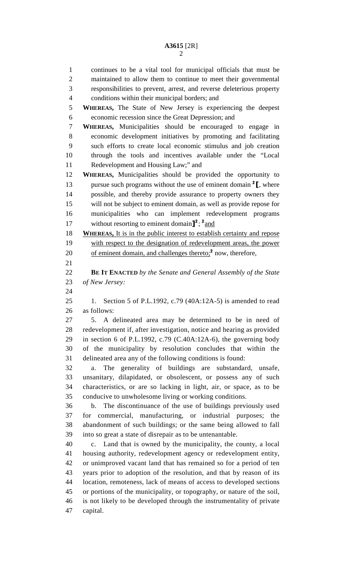1 continues to be a vital tool for municipal officials that must be 2 maintained to allow them to continue to meet their governmental 3 responsibilities to prevent, arrest, and reverse deleterious property 4 conditions within their municipal borders; and 5 **WHEREAS,** The State of New Jersey is experiencing the deepest 6 economic recession since the Great Depression; and 7 **WHEREAS,** Municipalities should be encouraged to engage in 8 economic development initiatives by promoting and facilitating 9 such efforts to create local economic stimulus and job creation 10 through the tools and incentives available under the "Local 11 Redevelopment and Housing Law;" and 12 **WHEREAS,** Municipalities should be provided the opportunity to 13 pursue such programs without the use of eminent domain  $2\mathbf{I}$ , where 14 possible, and thereby provide assurance to property owners they 15 will not be subject to eminent domain, as well as provide repose for 16 municipalities who can implement redevelopment programs 17 without resorting to eminent domain<sup>2</sup>; <sup>2</sup> and 18 **WHEREAS,** It is in the public interest to establish certainty and repose 19 with respect to the designation of redevelopment areas, the power 20 of eminent domain, and challenges thereto; $\alpha$ <sup>2</sup> now, therefore, 21 22 **BE IT ENACTED** *by the Senate and General Assembly of the State*  23 *of New Jersey:* 24 25 1. Section 5 of P.L.1992, c.79 (40A:12A-5) is amended to read 26 as follows: 27 5. A delineated area may be determined to be in need of 28 redevelopment if, after investigation, notice and hearing as provided 29 in section 6 of P.L.1992, c.79 (C.40A:12A-6), the governing body 30 of the municipality by resolution concludes that within the 31 delineated area any of the following conditions is found: 32 a. The generality of buildings are substandard, unsafe, 33 unsanitary, dilapidated, or obsolescent, or possess any of such 34 characteristics, or are so lacking in light, air, or space, as to be 35 conducive to unwholesome living or working conditions. 36 b. The discontinuance of the use of buildings previously used 37 for commercial, manufacturing, or industrial purposes; the 38 abandonment of such buildings; or the same being allowed to fall 39 into so great a state of disrepair as to be untenantable. 40 c. Land that is owned by the municipality, the county, a local 41 housing authority, redevelopment agency or redevelopment entity, 42 or unimproved vacant land that has remained so for a period of ten 43 years prior to adoption of the resolution, and that by reason of its 44 location, remoteness, lack of means of access to developed sections 45 or portions of the municipality, or topography, or nature of the soil, 46 is not likely to be developed through the instrumentality of private 47 capital.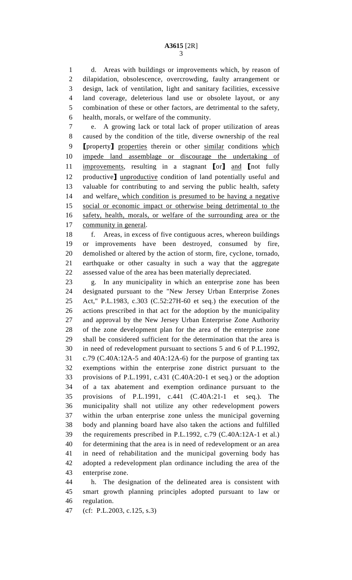1 d. Areas with buildings or improvements which, by reason of 2 dilapidation, obsolescence, overcrowding, faulty arrangement or 3 design, lack of ventilation, light and sanitary facilities, excessive 4 land coverage, deleterious land use or obsolete layout, or any 5 combination of these or other factors, are detrimental to the safety, 6 health, morals, or welfare of the community.

7 e. A growing lack or total lack of proper utilization of areas 8 caused by the condition of the title, diverse ownership of the real 9 **[property]** properties therein or other similar conditions which 10 impede land assemblage or discourage the undertaking of 11 improvements, resulting in a stagnant [or] and [not fully 12 productive] unproductive condition of land potentially useful and 13 valuable for contributing to and serving the public health, safety 14 and welfare, which condition is presumed to be having a negative 15 social or economic impact or otherwise being detrimental to the 16 safety, health, morals, or welfare of the surrounding area or the 17 community in general.

18 f. Areas, in excess of five contiguous acres, whereon buildings 19 or improvements have been destroyed, consumed by fire, 20 demolished or altered by the action of storm, fire, cyclone, tornado, 21 earthquake or other casualty in such a way that the aggregate 22 assessed value of the area has been materially depreciated.

23 g. In any municipality in which an enterprise zone has been 24 designated pursuant to the "New Jersey Urban Enterprise Zones 25 Act," P.L.1983, c.303 (C.52:27H-60 et seq.) the execution of the 26 actions prescribed in that act for the adoption by the municipality 27 and approval by the New Jersey Urban Enterprise Zone Authority 28 of the zone development plan for the area of the enterprise zone 29 shall be considered sufficient for the determination that the area is 30 in need of redevelopment pursuant to sections 5 and 6 of P.L.1992, 31 c.79 (C.40A:12A-5 and 40A:12A-6) for the purpose of granting tax 32 exemptions within the enterprise zone district pursuant to the 33 provisions of P.L.1991, c.431 (C.40A:20-1 et seq.) or the adoption 34 of a tax abatement and exemption ordinance pursuant to the 35 provisions of P.L.1991, c.441 (C.40A:21-1 et seq.). The 36 municipality shall not utilize any other redevelopment powers 37 within the urban enterprise zone unless the municipal governing 38 body and planning board have also taken the actions and fulfilled 39 the requirements prescribed in P.L.1992, c.79 (C.40A:12A-1 et al.) 40 for determining that the area is in need of redevelopment or an area 41 in need of rehabilitation and the municipal governing body has 42 adopted a redevelopment plan ordinance including the area of the 43 enterprise zone.

44 h. The designation of the delineated area is consistent with 45 smart growth planning principles adopted pursuant to law or 46 regulation.

47 (cf: P.L.2003, c.125, s.3)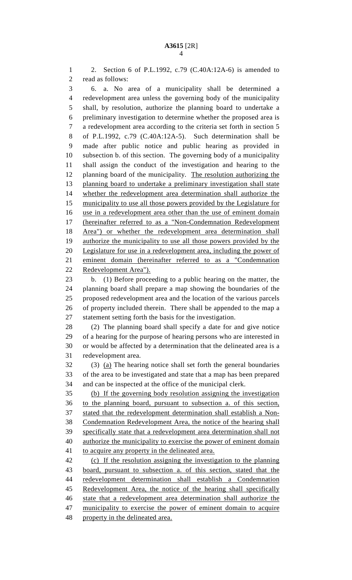1 2. Section 6 of P.L.1992, c.79 (C.40A:12A-6) is amended to 2 read as follows: 3 6. a. No area of a municipality shall be determined a 4 redevelopment area unless the governing body of the municipality 5 shall, by resolution, authorize the planning board to undertake a 6 preliminary investigation to determine whether the proposed area is 7 a redevelopment area according to the criteria set forth in section 5 8 of P.L.1992, c.79 (C.40A:12A-5). Such determination shall be 9 made after public notice and public hearing as provided in 10 subsection b. of this section. The governing body of a municipality 11 shall assign the conduct of the investigation and hearing to the 12 planning board of the municipality. The resolution authorizing the 13 planning board to undertake a preliminary investigation shall state 14 whether the redevelopment area determination shall authorize the 15 municipality to use all those powers provided by the Legislature for 16 use in a redevelopment area other than the use of eminent domain 17 (hereinafter referred to as a "Non-Condemnation Redevelopment 18 Area") or whether the redevelopment area determination shall 19 authorize the municipality to use all those powers provided by the 20 Legislature for use in a redevelopment area, including the power of 21 eminent domain (hereinafter referred to as a "Condemnation 22 Redevelopment Area"). 23 b. (1) Before proceeding to a public hearing on the matter, the 24 planning board shall prepare a map showing the boundaries of the 25 proposed redevelopment area and the location of the various parcels 26 of property included therein. There shall be appended to the map a 27 statement setting forth the basis for the investigation. 28 (2) The planning board shall specify a date for and give notice 29 of a hearing for the purpose of hearing persons who are interested in 30 or would be affected by a determination that the delineated area is a 31 redevelopment area. 32 (3) (a) The hearing notice shall set forth the general boundaries 33 of the area to be investigated and state that a map has been prepared 34 and can be inspected at the office of the municipal clerk. 35 (b) If the governing body resolution assigning the investigation 36 to the planning board, pursuant to subsection a. of this section, 37 stated that the redevelopment determination shall establish a Non-38 Condemnation Redevelopment Area, the notice of the hearing shall 39 specifically state that a redevelopment area determination shall not 40 authorize the municipality to exercise the power of eminent domain 41 to acquire any property in the delineated area. 42 (c) If the resolution assigning the investigation to the planning 43 board, pursuant to subsection a. of this section, stated that the 44 redevelopment determination shall establish a Condemnation 45 Redevelopment Area, the notice of the hearing shall specifically 46 state that a redevelopment area determination shall authorize the 47 municipality to exercise the power of eminent domain to acquire 48 property in the delineated area.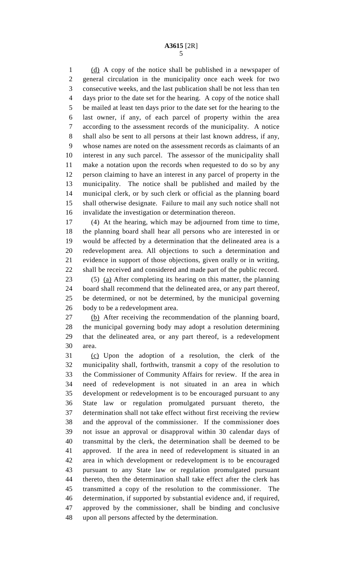## **A3615** [2R] 5

1 (d) A copy of the notice shall be published in a newspaper of 2 general circulation in the municipality once each week for two 3 consecutive weeks, and the last publication shall be not less than ten 4 days prior to the date set for the hearing. A copy of the notice shall 5 be mailed at least ten days prior to the date set for the hearing to the 6 last owner, if any, of each parcel of property within the area 7 according to the assessment records of the municipality. A notice 8 shall also be sent to all persons at their last known address, if any, 9 whose names are noted on the assessment records as claimants of an 10 interest in any such parcel. The assessor of the municipality shall 11 make a notation upon the records when requested to do so by any 12 person claiming to have an interest in any parcel of property in the 13 municipality. The notice shall be published and mailed by the 14 municipal clerk, or by such clerk or official as the planning board 15 shall otherwise designate. Failure to mail any such notice shall not 16 invalidate the investigation or determination thereon.

17 (4) At the hearing, which may be adjourned from time to time, 18 the planning board shall hear all persons who are interested in or 19 would be affected by a determination that the delineated area is a 20 redevelopment area. All objections to such a determination and 21 evidence in support of those objections, given orally or in writing, 22 shall be received and considered and made part of the public record. 23 (5) (a) After completing its hearing on this matter, the planning

24 board shall recommend that the delineated area, or any part thereof, 25 be determined, or not be determined, by the municipal governing 26 body to be a redevelopment area.

27 (b) After receiving the recommendation of the planning board, 28 the municipal governing body may adopt a resolution determining 29 that the delineated area, or any part thereof, is a redevelopment 30 area.

31 (c) Upon the adoption of a resolution, the clerk of the 32 municipality shall, forthwith, transmit a copy of the resolution to 33 the Commissioner of Community Affairs for review. If the area in 34 need of redevelopment is not situated in an area in which 35 development or redevelopment is to be encouraged pursuant to any 36 State law or regulation promulgated pursuant thereto, the 37 determination shall not take effect without first receiving the review 38 and the approval of the commissioner. If the commissioner does 39 not issue an approval or disapproval within 30 calendar days of 40 transmittal by the clerk, the determination shall be deemed to be 41 approved. If the area in need of redevelopment is situated in an 42 area in which development or redevelopment is to be encouraged 43 pursuant to any State law or regulation promulgated pursuant 44 thereto, then the determination shall take effect after the clerk has 45 transmitted a copy of the resolution to the commissioner. The 46 determination, if supported by substantial evidence and, if required, 47 approved by the commissioner, shall be binding and conclusive 48 upon all persons affected by the determination.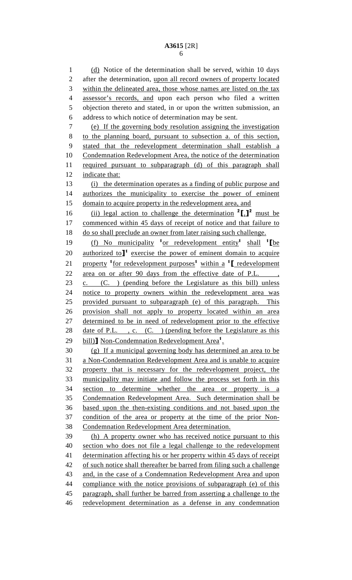1 (d) Notice of the determination shall be served, within 10 days 2 after the determination, upon all record owners of property located 3 within the delineated area, those whose names are listed on the tax 4 assessor's records, and upon each person who filed a written 5 objection thereto and stated, in or upon the written submission, an 6 address to which notice of determination may be sent. 7 (e) If the governing body resolution assigning the investigation 8 to the planning board, pursuant to subsection a. of this section, 9 stated that the redevelopment determination shall establish a 10 Condemnation Redevelopment Area, the notice of the determination 11 required pursuant to subparagraph (d) of this paragraph shall 12 indicate that: 13 (i) the determination operates as a finding of public purpose and 14 authorizes the municipality to exercise the power of eminent 15 domain to acquire property in the redevelopment area, and 16 (ii) legal action to challenge the determination  $^{2}$ [.] must be 17 commenced within 45 days of receipt of notice and that failure to 18 do so shall preclude an owner from later raising such challenge. 19 (f) No municipality  $\frac{1}{\alpha}$  redevelopment entity shall  $\frac{1}{\alpha}$  [be 20 authorized to<sup> $1$ </sup> exercise the power of eminent domain to acquire 21 property <sup>1</sup> for redevelopment purposes<sup>1</sup> within a <sup>1</sup>  $\Gamma$  redevelopment 22 area on or after 90 days from the effective date of P.L., 23 c. (C. ) (pending before the Legislature as this bill) unless 24 notice to property owners within the redevelopment area was 25 provided pursuant to subparagraph (e) of this paragraph. This 26 provision shall not apply to property located within an area 27 determined to be in need of redevelopment prior to the effective 28 date of P.L., c. (C.) (pending before the Legislature as this 29 bill)] Non-Condemnation Redevelopment Area<sup>1</sup>. 30 (g) If a municipal governing body has determined an area to be 31 a Non-Condemnation Redevelopment Area and is unable to acquire 32 property that is necessary for the redevelopment project, the 33 municipality may initiate and follow the process set forth in this 34 section to determine whether the area or property is a 35 Condemnation Redevelopment Area. Such determination shall be 36 based upon the then-existing conditions and not based upon the 37 condition of the area or property at the time of the prior Non-38 Condemnation Redevelopment Area determination. 39 (h) A property owner who has received notice pursuant to this 40 section who does not file a legal challenge to the redevelopment 41 determination affecting his or her property within 45 days of receipt 42 of such notice shall thereafter be barred from filing such a challenge 43 and, in the case of a Condemnation Redevelopment Area and upon 44 compliance with the notice provisions of subparagraph (e) of this 45 paragraph, shall further be barred from asserting a challenge to the 46 redevelopment determination as a defense in any condemnation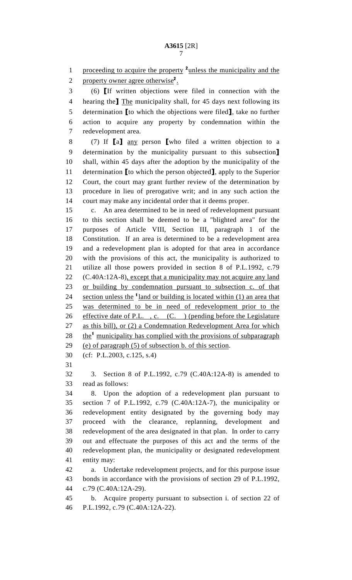proceeding to acquire the property <sup>2</sup> unless the municipality and the

2 property owner agree otherwise<sup>2</sup>.

3 (6) [If written objections were filed in connection with the 4 hearing the<sup>1</sup> The municipality shall, for 45 days next following its 5 determination [to which the objections were filed], take no further 6 action to acquire any property by condemnation within the 7 redevelopment area.

8 (7) If [a] any person [who filed a written objection to a 9 determination by the municipality pursuant to this subsection] 10 shall, within 45 days after the adoption by the municipality of the 11 determination [to which the person objected], apply to the Superior 12 Court, the court may grant further review of the determination by 13 procedure in lieu of prerogative writ; and in any such action the 14 court may make any incidental order that it deems proper.

15 c. An area determined to be in need of redevelopment pursuant 16 to this section shall be deemed to be a "blighted area" for the 17 purposes of Article VIII, Section III, paragraph 1 of the 18 Constitution. If an area is determined to be a redevelopment area 19 and a redevelopment plan is adopted for that area in accordance 20 with the provisions of this act, the municipality is authorized to 21 utilize all those powers provided in section 8 of P.L.1992, c.79 22 (C.40A:12A-8), except that a municipality may not acquire any land 23 or building by condemnation pursuant to subsection c. of that 24 section unless the  $\frac{1}{2}$  land or building is located within (1) an area that 25 was determined to be in need of redevelopment prior to the 26 effective date of P.L., c. (C.) (pending before the Legislature 27 as this bill), or (2) a Condemnation Redevelopment Area for which 28 the<sup>1</sup> municipality has complied with the provisions of subparagraph 29 (e) of paragraph (5) of subsection b. of this section.

30 (cf: P.L.2003, c.125, s.4)

31

32 3. Section 8 of P.L.1992, c.79 (C.40A:12A-8) is amended to 33 read as follows:

34 8. Upon the adoption of a redevelopment plan pursuant to 35 section 7 of P.L.1992, c.79 (C.40A:12A-7), the municipality or 36 redevelopment entity designated by the governing body may 37 proceed with the clearance, replanning, development and 38 redevelopment of the area designated in that plan. In order to carry 39 out and effectuate the purposes of this act and the terms of the 40 redevelopment plan, the municipality or designated redevelopment 41 entity may:

42 a. Undertake redevelopment projects, and for this purpose issue 43 bonds in accordance with the provisions of section 29 of P.L.1992, 44 c.79 (C.40A:12A-29).

45 b. Acquire property pursuant to subsection i. of section 22 of 46 P.L.1992, c.79 (C.40A:12A-22).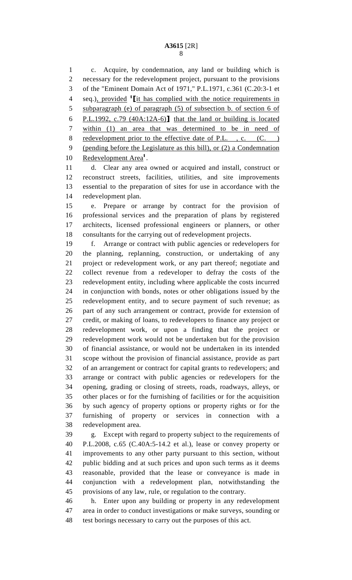## **A3615** [2R] 8

1 c. Acquire, by condemnation, any land or building which is 2 necessary for the redevelopment project, pursuant to the provisions 3 of the "Eminent Domain Act of 1971," P.L.1971, c.361 (C.20:3-1 et 4 seq.), provided <sup>1</sup> L<sub>it has</sub> complied with the notice requirements in 5 subparagraph (e) of paragraph (5) of subsection b. of section 6 of 6 P.L.1992, c.79 (40A:12A-6)] that the land or building is located 7 within (1) an area that was determined to be in need of 8 redevelopment prior to the effective date of P.L., c. (C.) 9 (pending before the Legislature as this bill), or (2) a Condemnation 10 Redevelopment Area<sup>1</sup>.

11 d. Clear any area owned or acquired and install, construct or 12 reconstruct streets, facilities, utilities, and site improvements 13 essential to the preparation of sites for use in accordance with the 14 redevelopment plan.

15 e. Prepare or arrange by contract for the provision of 16 professional services and the preparation of plans by registered 17 architects, licensed professional engineers or planners, or other 18 consultants for the carrying out of redevelopment projects.

19 f. Arrange or contract with public agencies or redevelopers for 20 the planning, replanning, construction, or undertaking of any 21 project or redevelopment work, or any part thereof; negotiate and 22 collect revenue from a redeveloper to defray the costs of the 23 redevelopment entity, including where applicable the costs incurred 24 in conjunction with bonds, notes or other obligations issued by the 25 redevelopment entity, and to secure payment of such revenue; as 26 part of any such arrangement or contract, provide for extension of 27 credit, or making of loans, to redevelopers to finance any project or 28 redevelopment work, or upon a finding that the project or 29 redevelopment work would not be undertaken but for the provision 30 of financial assistance, or would not be undertaken in its intended 31 scope without the provision of financial assistance, provide as part 32 of an arrangement or contract for capital grants to redevelopers; and 33 arrange or contract with public agencies or redevelopers for the 34 opening, grading or closing of streets, roads, roadways, alleys, or 35 other places or for the furnishing of facilities or for the acquisition 36 by such agency of property options or property rights or for the 37 furnishing of property or services in connection with a 38 redevelopment area.

39 g. Except with regard to property subject to the requirements of 40 P.L.2008, c.65 (C.40A:5-14.2 et al.), lease or convey property or 41 improvements to any other party pursuant to this section, without 42 public bidding and at such prices and upon such terms as it deems 43 reasonable, provided that the lease or conveyance is made in 44 conjunction with a redevelopment plan, notwithstanding the 45 provisions of any law, rule, or regulation to the contrary.

46 h. Enter upon any building or property in any redevelopment 47 area in order to conduct investigations or make surveys, sounding or 48 test borings necessary to carry out the purposes of this act.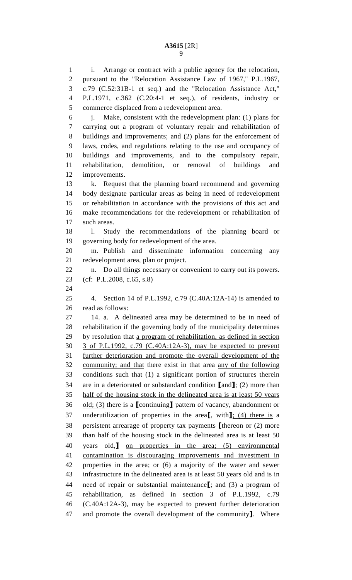1 i. Arrange or contract with a public agency for the relocation, 2 pursuant to the "Relocation Assistance Law of 1967," P.L.1967, 3 c.79 (C.52:31B-1 et seq.) and the "Relocation Assistance Act," 4 P.L.1971, c.362 (C.20:4-1 et seq.), of residents, industry or 5 commerce displaced from a redevelopment area. 6 j. Make, consistent with the redevelopment plan: (1) plans for 7 carrying out a program of voluntary repair and rehabilitation of 8 buildings and improvements; and (2) plans for the enforcement of 9 laws, codes, and regulations relating to the use and occupancy of 10 buildings and improvements, and to the compulsory repair, 11 rehabilitation, demolition, or removal of buildings and 12 improvements. 13 k. Request that the planning board recommend and governing 14 body designate particular areas as being in need of redevelopment 15 or rehabilitation in accordance with the provisions of this act and 16 make recommendations for the redevelopment or rehabilitation of 17 such areas. 18 l. Study the recommendations of the planning board or 19 governing body for redevelopment of the area. 20 m. Publish and disseminate information concerning any 21 redevelopment area, plan or project. 22 n. Do all things necessary or convenient to carry out its powers. 23 (cf: P.L.2008, c.65, s.8) 24 25 4. Section 14 of P.L.1992, c.79 (C.40A:12A-14) is amended to 26 read as follows: 27 14. a. A delineated area may be determined to be in need of 28 rehabilitation if the governing body of the municipality determines 29 by resolution that a program of rehabilitation, as defined in section 30 3 of P.L.1992, c.79 (C.40A:12A-3), may be expected to prevent 31 further deterioration and promote the overall development of the 32 community; and that there exist in that area any of the following 33 conditions such that (1) a significant portion of structures therein 34 are in a deteriorated or substandard condition [and]; (2) more than 35 half of the housing stock in the delineated area is at least 50 years 36 old; (3) there is a  $\lbrack$  continuing  $\lbrack$  pattern of vacancy, abandonment or 37 underutilization of properties in the area<sup>[, with</sup>]; (4) there is a 38 persistent arrearage of property tax payments [thereon or (2) more 39 than half of the housing stock in the delineated area is at least 50 40 years old,] on properties in the area; (5) environmental 41 contamination is discouraging improvements and investment in 42 properties in the area; or (6) a majority of the water and sewer 43 infrastructure in the delineated area is at least 50 years old and is in 44 need of repair or substantial maintenance<sup>[</sup>; and (3) a program of 45 rehabilitation, as defined in section 3 of P.L.1992, c.79 46 (C.40A:12A-3), may be expected to prevent further deterioration 47 and promote the overall development of the community]. Where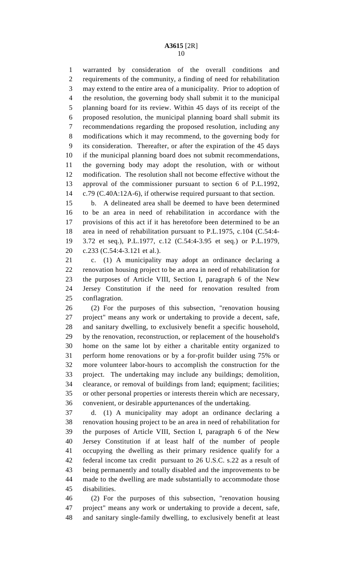1 warranted by consideration of the overall conditions and 2 requirements of the community, a finding of need for rehabilitation 3 may extend to the entire area of a municipality. Prior to adoption of 4 the resolution, the governing body shall submit it to the municipal 5 planning board for its review. Within 45 days of its receipt of the 6 proposed resolution, the municipal planning board shall submit its 7 recommendations regarding the proposed resolution, including any 8 modifications which it may recommend, to the governing body for 9 its consideration. Thereafter, or after the expiration of the 45 days 10 if the municipal planning board does not submit recommendations, 11 the governing body may adopt the resolution, with or without 12 modification. The resolution shall not become effective without the 13 approval of the commissioner pursuant to section 6 of P.L.1992, 14 c.79 (C.40A:12A-6), if otherwise required pursuant to that section.

15 b. A delineated area shall be deemed to have been determined 16 to be an area in need of rehabilitation in accordance with the 17 provisions of this act if it has heretofore been determined to be an 18 area in need of rehabilitation pursuant to P.L.1975, c.104 (C.54:4- 19 3.72 et seq.), P.L.1977, c.12 (C.54:4-3.95 et seq.) or P.L.1979, 20 c.233 (C.54:4-3.121 et al.).

21 c. (1) A municipality may adopt an ordinance declaring a 22 renovation housing project to be an area in need of rehabilitation for 23 the purposes of Article VIII, Section I, paragraph 6 of the New 24 Jersey Constitution if the need for renovation resulted from 25 conflagration.

26 (2) For the purposes of this subsection, "renovation housing 27 project" means any work or undertaking to provide a decent, safe, 28 and sanitary dwelling, to exclusively benefit a specific household, 29 by the renovation, reconstruction, or replacement of the household's 30 home on the same lot by either a charitable entity organized to 31 perform home renovations or by a for-profit builder using 75% or 32 more volunteer labor-hours to accomplish the construction for the 33 project. The undertaking may include any buildings; demolition, 34 clearance, or removal of buildings from land; equipment; facilities; 35 or other personal properties or interests therein which are necessary, 36 convenient, or desirable appurtenances of the undertaking.

37 d. (1) A municipality may adopt an ordinance declaring a 38 renovation housing project to be an area in need of rehabilitation for 39 the purposes of Article VIII, Section I, paragraph 6 of the New 40 Jersey Constitution if at least half of the number of people 41 occupying the dwelling as their primary residence qualify for a 42 federal income tax credit pursuant to 26 U.S.C. s.22 as a result of 43 being permanently and totally disabled and the improvements to be 44 made to the dwelling are made substantially to accommodate those 45 disabilities.

46 (2) For the purposes of this subsection, "renovation housing 47 project" means any work or undertaking to provide a decent, safe, 48 and sanitary single-family dwelling, to exclusively benefit at least